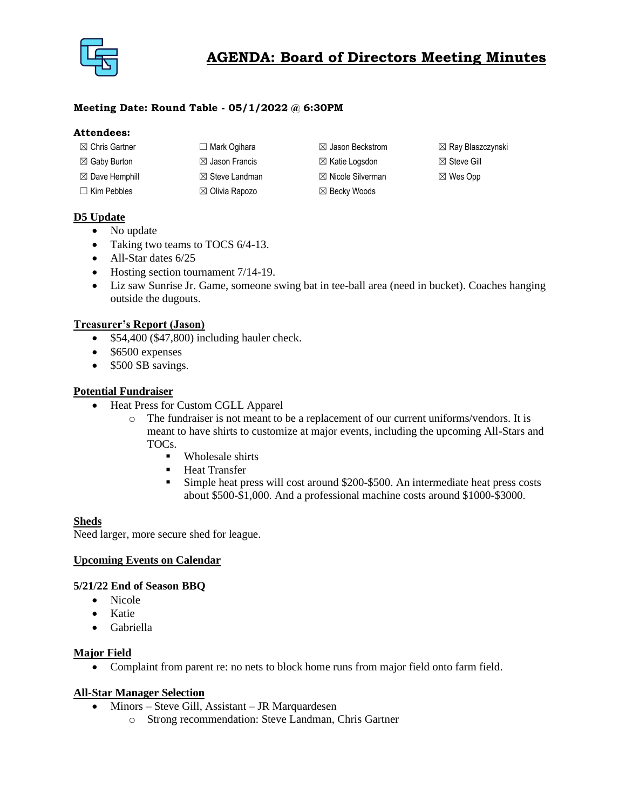

## **Meeting Date: Round Table - 05/1/2022 @ 6:30PM**

#### **Attendees:**

| $\boxtimes$ Chris Gartner | $\Box$ Mark Ogihara       | $\boxtimes$ Jason Beckstrom  | $\boxtimes$ Ray Blaszczynski |
|---------------------------|---------------------------|------------------------------|------------------------------|
| $\boxtimes$ Gaby Burton   | $\boxtimes$ Jason Francis | $\boxtimes$ Katie Logsdon    | $\boxtimes$ Steve Gill       |
| $\boxtimes$ Dave Hemphill | $\boxtimes$ Steve Landman | $\boxtimes$ Nicole Silverman | $\boxtimes$ Wes Opp          |
| $\Box$ Kim Pebbles        | $\boxtimes$ Olivia Rapozo | $\boxtimes$ Becky Woods      |                              |

## **D5 Update**

- No update
- Taking two teams to TOCS 6/4-13.
- All-Star dates 6/25
- Hosting section tournament 7/14-19.
- Liz saw Sunrise Jr. Game, someone swing bat in tee-ball area (need in bucket). Coaches hanging outside the dugouts.

## **Treasurer's Report (Jason)**

- \$54,400 (\$47,800) including hauler check.
- \$6500 expenses
- \$500 SB savings.

## **Potential Fundraiser**

- Heat Press for Custom CGLL Apparel
	- o The fundraiser is not meant to be a replacement of our current uniforms/vendors. It is meant to have shirts to customize at major events, including the upcoming All-Stars and TOCs.
		- Wholesale shirts
		- Heat Transfer
		- **EXECUTE:** Simple heat press will cost around \$200-\$500. An intermediate heat press costs about \$500-\$1,000. And a professional machine costs around \$1000-\$3000.

## **Sheds**

Need larger, more secure shed for league.

## **Upcoming Events on Calendar**

## **5/21/22 End of Season BBQ**

- Nicole
- Katie
- Gabriella

#### **Major Field**

• Complaint from parent re: no nets to block home runs from major field onto farm field.

## **All-Star Manager Selection**

- Minors Steve Gill, Assistant JR Marquardesen
	- o Strong recommendation: Steve Landman, Chris Gartner